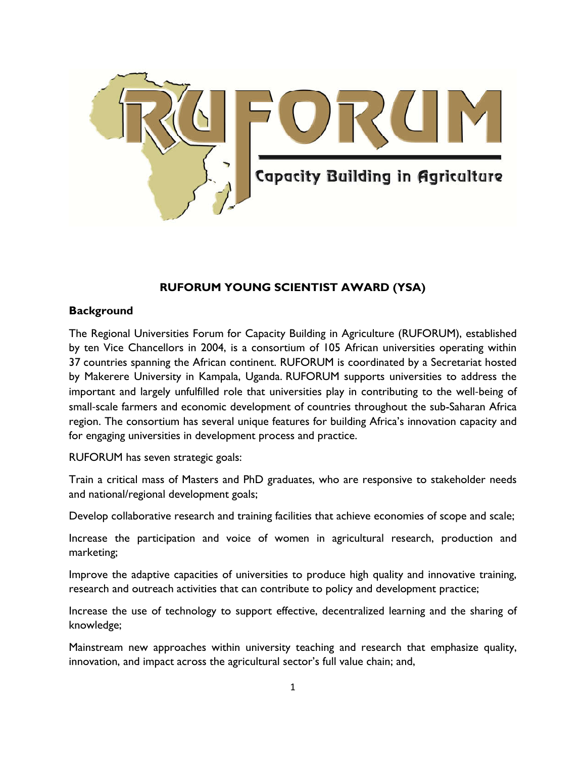

# **RUFORUM YOUNG SCIENTIST AWARD (YSA)**

# **Background**

The Regional Universities Forum for Capacity Building in Agriculture (RUFORUM), established by ten Vice Chancellors in 2004, is a consortium of 105 African universities operating within 37 countries spanning the African continent. RUFORUM is coordinated by a Secretariat hosted by Makerere University in Kampala, Uganda. RUFORUM supports universities to address the important and largely unfulfilled role that universities play in contributing to the well-being of small-scale farmers and economic development of countries throughout the sub-Saharan Africa region. The consortium has several unique features for building Africa's innovation capacity and for engaging universities in development process and practice.

RUFORUM has seven strategic goals:

Train a critical mass of Masters and PhD graduates, who are responsive to stakeholder needs and national/regional development goals;

Develop collaborative research and training facilities that achieve economies of scope and scale;

Increase the participation and voice of women in agricultural research, production and marketing;

Improve the adaptive capacities of universities to produce high quality and innovative training, research and outreach activities that can contribute to policy and development practice;

Increase the use of technology to support effective, decentralized learning and the sharing of knowledge;

Mainstream new approaches within university teaching and research that emphasize quality, innovation, and impact across the agricultural sector's full value chain; and,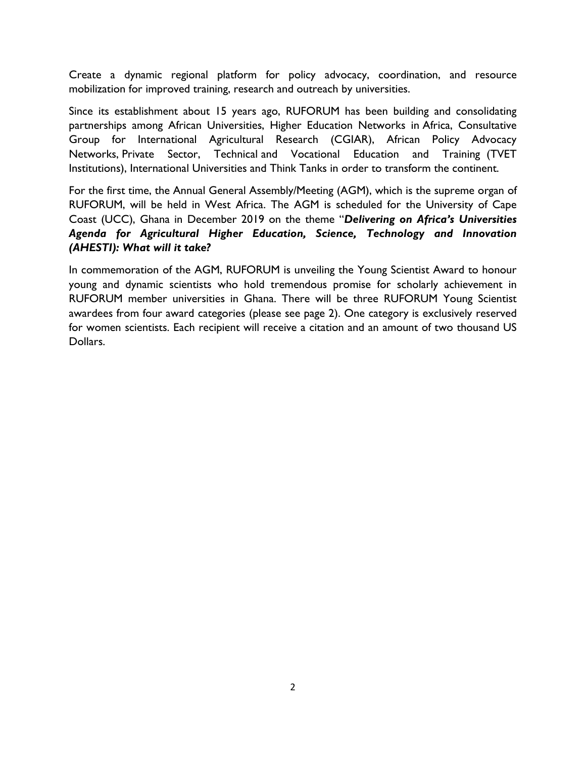Create a dynamic regional platform for policy advocacy, coordination, and resource mobilization for improved training, research and outreach by universities.

Since its establishment about 15 years ago, RUFORUM has been building and consolidating partnerships among African Universities, Higher Education Networks in Africa, Consultative Group for International Agricultural Research (CGIAR), African Policy Advocacy Networks, Private Sector, Technical and Vocational Education and Training (TVET Institutions), International Universities and Think Tanks in order to transform the continent.

For the first time, the Annual General Assembly/Meeting (AGM), which is the supreme organ of RUFORUM, will be held in West Africa. The AGM is scheduled for the University of Cape Coast (UCC), Ghana in December 2019 on the theme "*Delivering on Africa's Universities Agenda for Agricultural Higher Education, Science, Technology and Innovation (AHESTI): What will it take?*

In commemoration of the AGM, RUFORUM is unveiling the Young Scientist Award to honour young and dynamic scientists who hold tremendous promise for scholarly achievement in RUFORUM member universities in Ghana. There will be three RUFORUM Young Scientist awardees from four award categories (please see page 2). One category is exclusively reserved for women scientists. Each recipient will receive a citation and an amount of two thousand US Dollars.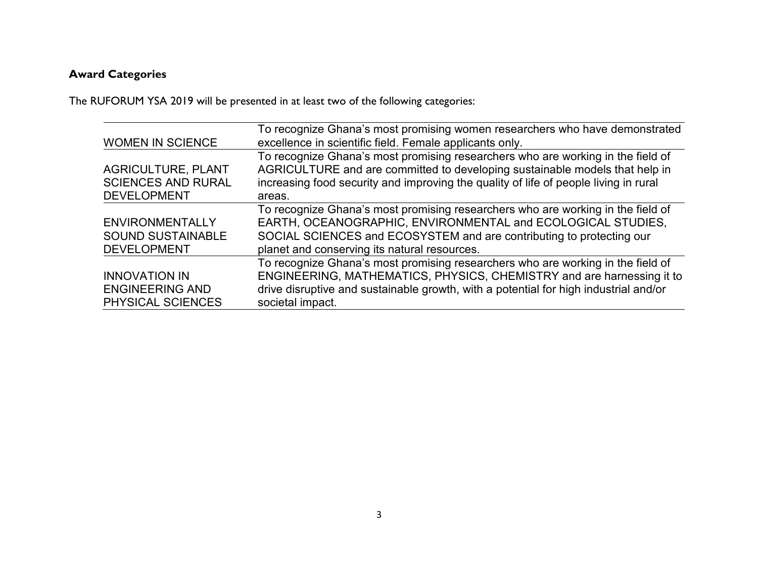# **Award Categories**

The RUFORUM YSA 2019 will be presented in at least two of the following categories:

| <b>WOMEN IN SCIENCE</b>                                                      | To recognize Ghana's most promising women researchers who have demonstrated<br>excellence in scientific field. Female applicants only.                                                                                                                                 |
|------------------------------------------------------------------------------|------------------------------------------------------------------------------------------------------------------------------------------------------------------------------------------------------------------------------------------------------------------------|
| <b>AGRICULTURE, PLANT</b><br><b>SCIENCES AND RURAL</b><br><b>DEVELOPMENT</b> | To recognize Ghana's most promising researchers who are working in the field of<br>AGRICULTURE and are committed to developing sustainable models that help in<br>increasing food security and improving the quality of life of people living in rural<br>areas.       |
| ENVIRONMENTALLY<br><b>SOUND SUSTAINABLE</b><br><b>DEVELOPMENT</b>            | To recognize Ghana's most promising researchers who are working in the field of<br>EARTH, OCEANOGRAPHIC, ENVIRONMENTAL and ECOLOGICAL STUDIES,<br>SOCIAL SCIENCES and ECOSYSTEM and are contributing to protecting our<br>planet and conserving its natural resources. |
| <b>INNOVATION IN</b><br><b>ENGINEERING AND</b><br>PHYSICAL SCIENCES          | To recognize Ghana's most promising researchers who are working in the field of<br>ENGINEERING, MATHEMATICS, PHYSICS, CHEMISTRY and are harnessing it to<br>drive disruptive and sustainable growth, with a potential for high industrial and/or<br>societal impact.   |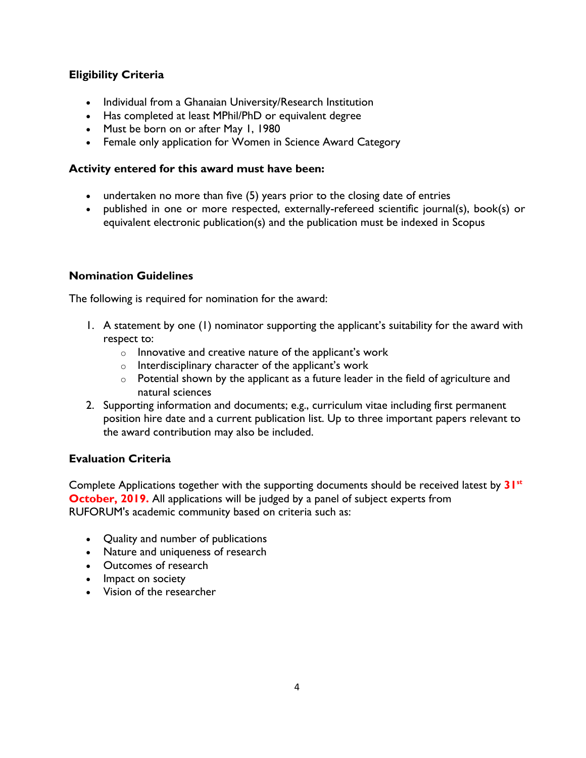# **Eligibility Criteria**

- Individual from a Ghanaian University/Research Institution
- Has completed at least MPhil/PhD or equivalent degree
- Must be born on or after May 1, 1980
- Female only application for Women in Science Award Category

#### **Activity entered for this award must have been:**

- undertaken no more than five (5) years prior to the closing date of entries
- published in one or more respected, externally-refereed scientific journal(s), book(s) or equivalent electronic publication(s) and the publication must be indexed in Scopus

# **Nomination Guidelines**

The following is required for nomination for the award:

- 1. A statement by one (1) nominator supporting the applicant's suitability for the award with respect to:
	- o Innovative and creative nature of the applicant's work
	- o Interdisciplinary character of the applicant's work
	- $\circ$  Potential shown by the applicant as a future leader in the field of agriculture and natural sciences
- 2. Supporting information and documents; e.g., curriculum vitae including first permanent position hire date and a current publication list. Up to three important papers relevant to the award contribution may also be included.

# **Evaluation Criteria**

Complete Applications together with the supporting documents should be received latest by **31st October, 2019.** All applications will be judged by a panel of subject experts from RUFORUM's academic community based on criteria such as:

- Quality and number of publications
- Nature and uniqueness of research
- Outcomes of research
- Impact on society
- Vision of the researcher